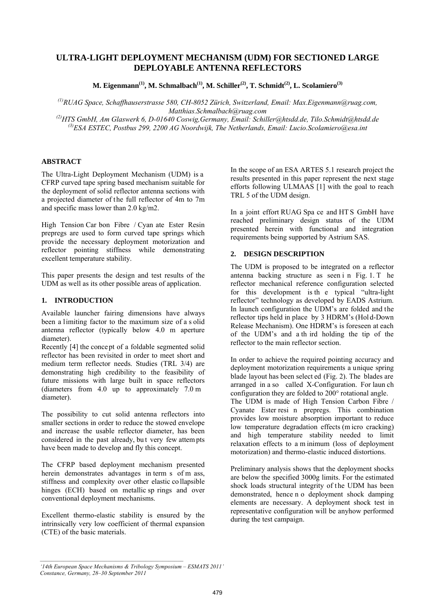# **ULTRA-LIGHT DEPLOYMENT MECHANISM (UDM) FOR SECTIONED LARGE DEPLOYABLE ANTENNA REFLECTORS**

M. Eigenmann<sup>(1)</sup>, M. Schmalbach<sup>(1)</sup>, M. Schiller<sup>(2)</sup>, T. Schmidt<sup>(2)</sup>, L. Scolamiero<sup>(3)</sup>

*(1)RUAG Space, Schaffhauserstrasse 580, CH-8052 Zürich, Switzerland, Email: Max.Eigenmann@ruag.com, Matthias.Schmalbach@ruag.com (2)HTS GmbH, Am Glaswerk 6, D-01640 Coswig,Germany, Email: Schiller@htsdd.de, Tilo.Schmidt@htsdd.de* 

*(3)ESA ESTEC, Postbus 299, 2200 AG Noordwijk, The Netherlands, Email: Lucio.Scolamiero@esa.int* 

### **ABSTRACT**

The Ultra-Light Deployment Mechanism (UDM) is a CFRP curved tape spring based mechanism suitable for the deployment of solid reflector antenna sections with a projected diameter of the full reflector of 4m to 7m and specific mass lower than 2.0 kg/m2.

High Tension Car bon Fibre / Cyan ate Ester Resin prepregs are used to form curved tape springs which provide the necessary deployment motorization and reflector pointing stiffness while demonstrating excellent temperature stability.

This paper presents the design and test results of the UDM as well as its other possible areas of application.

### **1. INTRODUCTION**

Available launcher fairing dimensions have always been a limiting factor to the maximum size of a s olid antenna reflector (typically below 4.0 m aperture diameter).

Recently [4] the concept of a foldable segmented solid reflector has been revisited in order to meet short and medium term reflector needs. Studies (TRL 3/4) are demonstrating high credibility to the feasibility of future missions with large built in space reflectors (diameters from 4.0 up to approximately 7.0 m diameter).

The possibility to cut solid antenna reflectors into smaller sections in order to reduce the stowed envelope and increase the usable reflector diameter, has been considered in the past already, bu t very few attem pts have been made to develop and fly this concept.

The CFRP based deployment mechanism presented herein demonstrates advantages in term s of m ass, stiffness and complexity over other elastic co llapsible hinges (ECH) based on metallic sp rings and over conventional deployment mechanisms.

Excellent thermo-elastic stability is ensured by the intrinsically very low coefficient of thermal expansion (CTE) of the basic materials.

In the scope of an ESA ARTES 5.1 research project the results presented in this paper represent the next stage efforts following ULMAAS [1] with the goal to reach TRL 5 of the UDM design.

In a joint effort RUAG Spa ce and HT S GmbH have reached preliminary design status of the UDM presented herein with functional and integration requirements being supported by Astrium SAS.

### **2. DESIGN DESCRIPTION**

The UDM is proposed to be integrated on a reflector antenna backing structure as seen i n Fig. 1. T he reflector mechanical reference configuration selected for this development is th e typical "ultra-light reflector" technology as developed by EADS Astrium. In launch configuration the UDM's are folded and the reflector tips held in place by 3 HDRM's (Hol d-Down Release Mechanism). One HDRM's is foreseen at each of the UDM's and a th ird holding the tip of the reflector to the main reflector section.

In order to achieve the required pointing accuracy and deployment motorization requirements a unique spring blade layout has been select ed (Fig. 2). The blades are arranged in a so called X-Configuration. For laun ch configuration they are folded to  $200^{\circ}$  rotational angle. The UDM is made of High Tension Carbon Fibre / Cyanate Ester resi n prepregs. This combination provides low moisture absorption important to reduce low temperature degradation effects (m icro cracking) and high temperature stability needed to limit relaxation effects to a m inimum (loss of deployment motorization) and thermo-elastic induced distortions.

Preliminary analysis shows that the deployment shocks are below the specified 3000g limits. For the estimated shock loads structural integrity of the UDM has been demonstrated, hence n o deployment shock damping elements are necessary. A deployment shock test in representative configuration will be anyhow performed during the test campaign.

*<sup>&#</sup>x27;14th European Space Mechanisms & Tribology Symposium – ESMATS 2011' Constance, Germany, 28–30 September 2011*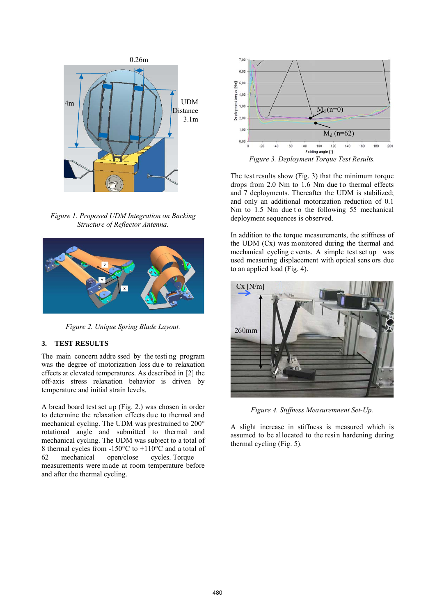

*Figure 1. Proposed UDM Integration on Backing Structure of Reflector Antenna.* 



*Figure 2. Unique Spring Blade Layout.* 

## **3. TEST RESULTS**

The main concern addre ssed by the testi ng program was the degree of motorization loss due to relaxation effects at elevated temperatures. As described in [2] the off-axis stress relaxation behavior is driven by temperature and initial strain levels.

A bread board test set up (Fig. 2.) was chosen in order to determine the relaxation effects due to thermal and mechanical cycling. The UDM was prestrained to 200° rotational angle and submitted to thermal and mechanical cycling. The UDM was subject to a total of 8 thermal cycles from -150 $^{\circ}$ C to +110 $^{\circ}$ C and a total of 62 mechanical open/close cycles. Torque measurements were m ade at room temperature before and after the thermal cycling.



The test results show (Fig. 3) that the minimum torque drops from  $2.0$  Nm to  $1.6$  Nm due to thermal effects and 7 deployments. Thereafter the UDM is stabilized; and only an additional motorization reduction of 0.1 Nm to 1.5 Nm due t o the following 55 mechanical deployment sequences is observed.

In addition to the torque measurements, the stiffness of the UDM (Cx) was monitored during the thermal and mechanical cycling e vents. A simple test set up was used measuring displacement with optical sens ors due to an applied load (Fig. 4).



*Figure 4. Stiffness Measuremnent Set-Up.*

A slight increase in stiffness is measured which is assumed to be allocated to the resin hardening during thermal cycling (Fig. 5).